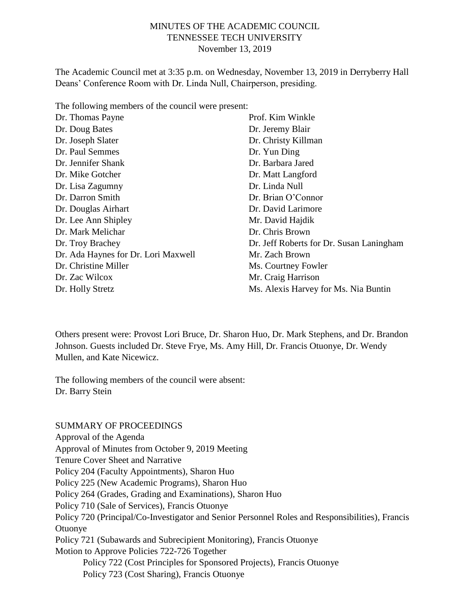### MINUTES OF THE ACADEMIC COUNCIL TENNESSEE TECH UNIVERSITY November 13, 2019

The Academic Council met at 3:35 p.m. on Wednesday, November 13, 2019 in Derryberry Hall Deans' Conference Room with Dr. Linda Null, Chairperson, presiding.

The following members of the council were present:

| Dr. Thomas Payne                    | Prof. Kim Winkle                         |
|-------------------------------------|------------------------------------------|
| Dr. Doug Bates                      | Dr. Jeremy Blair                         |
| Dr. Joseph Slater                   | Dr. Christy Killman                      |
| Dr. Paul Semmes                     | Dr. Yun Ding                             |
| Dr. Jennifer Shank                  | Dr. Barbara Jared                        |
| Dr. Mike Gotcher                    | Dr. Matt Langford                        |
| Dr. Lisa Zagumny                    | Dr. Linda Null                           |
| Dr. Darron Smith                    | Dr. Brian O'Connor                       |
| Dr. Douglas Airhart                 | Dr. David Larimore                       |
| Dr. Lee Ann Shipley                 | Mr. David Hajdik                         |
| Dr. Mark Melichar                   | Dr. Chris Brown                          |
| Dr. Troy Brachey                    | Dr. Jeff Roberts for Dr. Susan Laningham |
| Dr. Ada Haynes for Dr. Lori Maxwell | Mr. Zach Brown                           |
| Dr. Christine Miller                | Ms. Courtney Fowler                      |
| Dr. Zac Wilcox                      | Mr. Craig Harrison                       |
| Dr. Holly Stretz                    | Ms. Alexis Harvey for Ms. Nia Buntin     |
|                                     |                                          |

Others present were: Provost Lori Bruce, Dr. Sharon Huo, Dr. Mark Stephens, and Dr. Brandon Johnson. Guests included Dr. Steve Frye, Ms. Amy Hill, Dr. Francis Otuonye, Dr. Wendy Mullen, and Kate Nicewicz.

The following members of the council were absent: Dr. Barry Stein

#### SUMMARY OF PROCEEDINGS

Approval of the Agenda Approval of Minutes from October 9, 2019 Meeting Tenure Cover Sheet and Narrative Policy 204 (Faculty Appointments), Sharon Huo Policy 225 (New Academic Programs), Sharon Huo Policy 264 (Grades, Grading and Examinations), Sharon Huo Policy 710 (Sale of Services), Francis Otuonye Policy 720 (Principal/Co-Investigator and Senior Personnel Roles and Responsibilities), Francis Otuonye Policy 721 (Subawards and Subrecipient Monitoring), Francis Otuonye Motion to Approve Policies 722-726 Together Policy 722 (Cost Principles for Sponsored Projects), Francis Otuonye Policy 723 (Cost Sharing), Francis Otuonye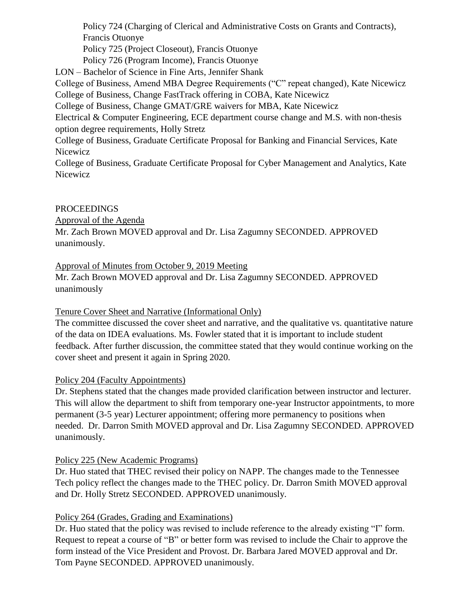Policy 724 (Charging of Clerical and Administrative Costs on Grants and Contracts), Francis Otuonye Policy 725 (Project Closeout), Francis Otuonye Policy 726 (Program Income), Francis Otuonye LON – Bachelor of Science in Fine Arts, Jennifer Shank College of Business, Amend MBA Degree Requirements ("C" repeat changed), Kate Nicewicz College of Business, Change FastTrack offering in COBA, Kate Nicewicz College of Business, Change GMAT/GRE waivers for MBA, Kate Nicewicz Electrical & Computer Engineering, ECE department course change and M.S. with non-thesis option degree requirements, Holly Stretz College of Business, Graduate Certificate Proposal for Banking and Financial Services, Kate

Nicewicz

College of Business, Graduate Certificate Proposal for Cyber Management and Analytics, Kate Nicewicz

#### PROCEEDINGS

Approval of the Agenda

Mr. Zach Brown MOVED approval and Dr. Lisa Zagumny SECONDED. APPROVED unanimously.

Approval of Minutes from October 9, 2019 Meeting

Mr. Zach Brown MOVED approval and Dr. Lisa Zagumny SECONDED. APPROVED unanimously

# Tenure Cover Sheet and Narrative (Informational Only)

The committee discussed the cover sheet and narrative, and the qualitative vs. quantitative nature of the data on IDEA evaluations. Ms. Fowler stated that it is important to include student feedback. After further discussion, the committee stated that they would continue working on the cover sheet and present it again in Spring 2020.

# Policy 204 (Faculty Appointments)

Dr. Stephens stated that the changes made provided clarification between instructor and lecturer. This will allow the department to shift from temporary one-year Instructor appointments, to more permanent (3-5 year) Lecturer appointment; offering more permanency to positions when needed. Dr. Darron Smith MOVED approval and Dr. Lisa Zagumny SECONDED. APPROVED unanimously.

#### Policy 225 (New Academic Programs)

Dr. Huo stated that THEC revised their policy on NAPP. The changes made to the Tennessee Tech policy reflect the changes made to the THEC policy. Dr. Darron Smith MOVED approval and Dr. Holly Stretz SECONDED. APPROVED unanimously.

# Policy 264 (Grades, Grading and Examinations)

Dr. Huo stated that the policy was revised to include reference to the already existing "I" form. Request to repeat a course of "B" or better form was revised to include the Chair to approve the form instead of the Vice President and Provost. Dr. Barbara Jared MOVED approval and Dr. Tom Payne SECONDED. APPROVED unanimously.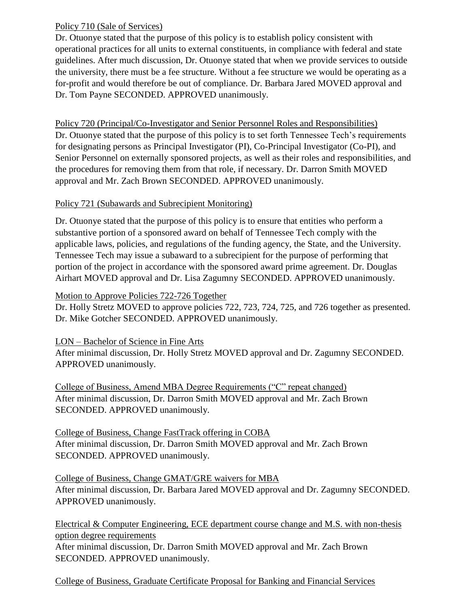### Policy 710 (Sale of Services)

Dr. Otuonye stated that the purpose of this policy is to establish policy consistent with operational practices for all units to external constituents, in compliance with federal and state guidelines. After much discussion, Dr. Otuonye stated that when we provide services to outside the university, there must be a fee structure. Without a fee structure we would be operating as a for-profit and would therefore be out of compliance. Dr. Barbara Jared MOVED approval and Dr. Tom Payne SECONDED. APPROVED unanimously.

Policy 720 (Principal/Co-Investigator and Senior Personnel Roles and Responsibilities) Dr. Otuonye stated that the purpose of this policy is to set forth Tennessee Tech's requirements for designating persons as Principal Investigator (PI), Co-Principal Investigator (Co-PI), and Senior Personnel on externally sponsored projects, as well as their roles and responsibilities, and the procedures for removing them from that role, if necessary. Dr. Darron Smith MOVED approval and Mr. Zach Brown SECONDED. APPROVED unanimously.

# Policy 721 (Subawards and Subrecipient Monitoring)

Dr. Otuonye stated that the purpose of this policy is to ensure that entities who perform a substantive portion of a sponsored award on behalf of Tennessee Tech comply with the applicable laws, policies, and regulations of the funding agency, the State, and the University. Tennessee Tech may issue a subaward to a subrecipient for the purpose of performing that portion of the project in accordance with the sponsored award prime agreement. Dr. Douglas Airhart MOVED approval and Dr. Lisa Zagumny SECONDED. APPROVED unanimously.

#### Motion to Approve Policies 722-726 Together

Dr. Holly Stretz MOVED to approve policies 722, 723, 724, 725, and 726 together as presented. Dr. Mike Gotcher SECONDED. APPROVED unanimously.

LON – Bachelor of Science in Fine Arts After minimal discussion, Dr. Holly Stretz MOVED approval and Dr. Zagumny SECONDED. APPROVED unanimously.

College of Business, Amend MBA Degree Requirements ("C" repeat changed) After minimal discussion, Dr. Darron Smith MOVED approval and Mr. Zach Brown SECONDED. APPROVED unanimously.

College of Business, Change FastTrack offering in COBA After minimal discussion, Dr. Darron Smith MOVED approval and Mr. Zach Brown SECONDED. APPROVED unanimously.

College of Business, Change GMAT/GRE waivers for MBA After minimal discussion, Dr. Barbara Jared MOVED approval and Dr. Zagumny SECONDED. APPROVED unanimously.

Electrical & Computer Engineering, ECE department course change and M.S. with non-thesis option degree requirements After minimal discussion, Dr. Darron Smith MOVED approval and Mr. Zach Brown

SECONDED. APPROVED unanimously.

College of Business, Graduate Certificate Proposal for Banking and Financial Services